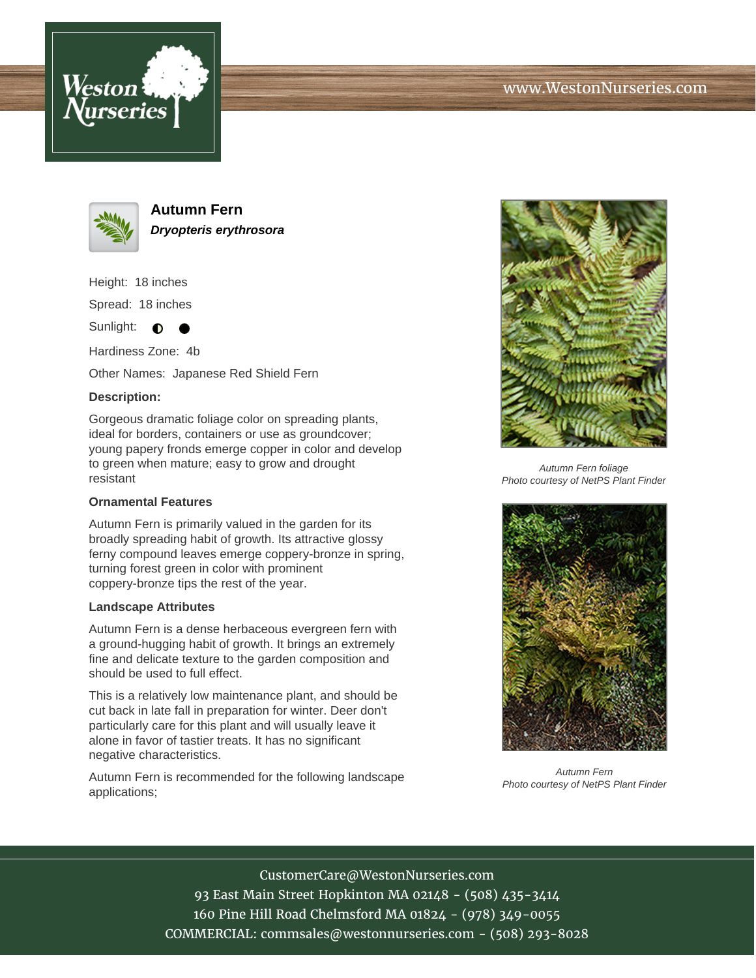





**Autumn Fern Dryopteris erythrosora**

Height: 18 inches Spread: 18 inches

Sunlight:  $\bullet$ 

Hardiness Zone: 4b

Other Names: Japanese Red Shield Fern

## **Description:**

Gorgeous dramatic foliage color on spreading plants, ideal for borders, containers or use as groundcover; young papery fronds emerge copper in color and develop to green when mature; easy to grow and drought resistant

## **Ornamental Features**

Autumn Fern is primarily valued in the garden for its broadly spreading habit of growth. Its attractive glossy ferny compound leaves emerge coppery-bronze in spring, turning forest green in color with prominent coppery-bronze tips the rest of the year.

## **Landscape Attributes**

Autumn Fern is a dense herbaceous evergreen fern with a ground-hugging habit of growth. It brings an extremely fine and delicate texture to the garden composition and should be used to full effect.

This is a relatively low maintenance plant, and should be cut back in late fall in preparation for winter. Deer don't particularly care for this plant and will usually leave it alone in favor of tastier treats. It has no significant negative characteristics.

Autumn Fern is recommended for the following landscape applications;



Autumn Fern foliage Photo courtesy of NetPS Plant Finder



Autumn Fern Photo courtesy of NetPS Plant Finder

CustomerCare@WestonNurseries.com 93 East Main Street Hopkinton MA 02148 - (508) 435-3414 160 Pine Hill Road Chelmsford MA 01824 - (978) 349-0055 COMMERCIAL: commsales@westonnurseries.com - (508) 293-8028